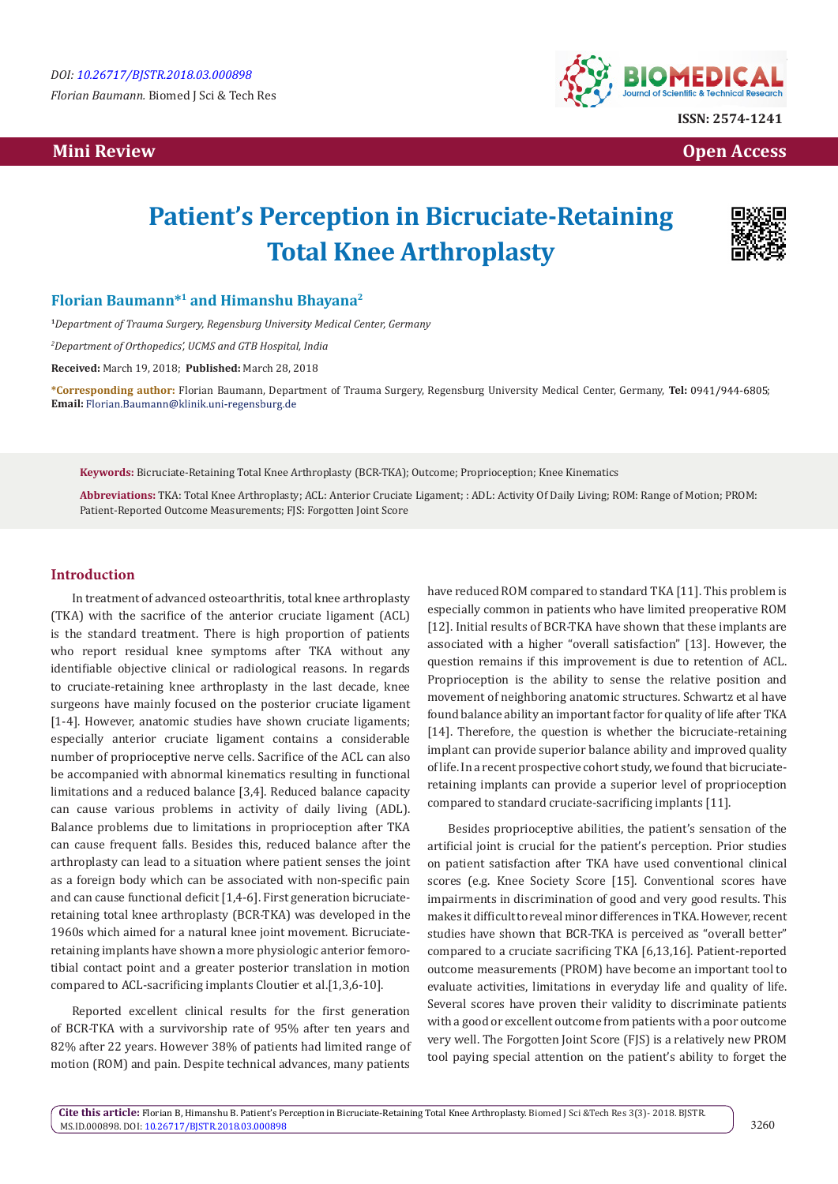*Florian Baumann.* Biomed J Sci & Tech Res

## **Mini Review Open Access**



# **Patient's Perception in Bicruciate-Retaining Total Knee Arthroplasty**



## **Florian Baumann\*1 and Himanshu Bhayana2**

**<sup>1</sup>***Department of Trauma Surgery, Regensburg University Medical Center, Germany*

*2 Department of Orthopedics', UCMS and GTB Hospital, India* 

**Received:** March 19, 2018; **Published:** March 28, 2018

**\*Corresponding author:** Florian Baumann, Department of Trauma Surgery, Regensburg University Medical Center, Germany, **Tel:** ; Email: Florian.Baumann@klinik.uni-regensburg.de

**Keywords:** Bicruciate-Retaining Total Knee Arthroplasty (BCR-TKA); Outcome; Proprioception; Knee Kinematics

**Abbreviations:** TKA: Total Knee Arthroplasty; ACL: Anterior Cruciate Ligament; : ADL: Activity Of Daily Living; ROM: Range of Motion; PROM: Patient-Reported Outcome Measurements; FJS: Forgotten Joint Score

#### **Introduction**

In treatment of advanced osteoarthritis, total knee arthroplasty (TKA) with the sacrifice of the anterior cruciate ligament (ACL) is the standard treatment. There is high proportion of patients who report residual knee symptoms after TKA without any identifiable objective clinical or radiological reasons. In regards to cruciate-retaining knee arthroplasty in the last decade, knee surgeons have mainly focused on the posterior cruciate ligament [1-4]. However, anatomic studies have shown cruciate ligaments; especially anterior cruciate ligament contains a considerable number of proprioceptive nerve cells. Sacrifice of the ACL can also be accompanied with abnormal kinematics resulting in functional limitations and a reduced balance [3,4]. Reduced balance capacity can cause various problems in activity of daily living (ADL). Balance problems due to limitations in proprioception after TKA can cause frequent falls. Besides this, reduced balance after the arthroplasty can lead to a situation where patient senses the joint as a foreign body which can be associated with non-specific pain and can cause functional deficit [1,4-6]. First generation bicruciateretaining total knee arthroplasty (BCR-TKA) was developed in the 1960s which aimed for a natural knee joint movement. Bicruciateretaining implants have shown a more physiologic anterior femorotibial contact point and a greater posterior translation in motion compared to ACL-sacrificing implants Cloutier et al.[1,3,6-10].

Reported excellent clinical results for the first generation of BCR-TKA with a survivorship rate of 95% after ten years and 82% after 22 years. However 38% of patients had limited range of motion (ROM) and pain. Despite technical advances, many patients

have reduced ROM compared to standard TKA [11]. This problem is especially common in patients who have limited preoperative ROM [12]. Initial results of BCR-TKA have shown that these implants are associated with a higher "overall satisfaction" [13]. However, the question remains if this improvement is due to retention of ACL. Proprioception is the ability to sense the relative position and movement of neighboring anatomic structures. Schwartz et al have found balance ability an important factor for quality of life after TKA [14]. Therefore, the question is whether the bicruciate-retaining implant can provide superior balance ability and improved quality of life. In a recent prospective cohort study, we found that bicruciateretaining implants can provide a superior level of proprioception compared to standard cruciate-sacrificing implants [11].

Besides proprioceptive abilities, the patient's sensation of the artificial joint is crucial for the patient's perception. Prior studies on patient satisfaction after TKA have used conventional clinical scores (e.g. Knee Society Score [15]. Conventional scores have impairments in discrimination of good and very good results. This makes it difficult to reveal minor differences in TKA. However, recent studies have shown that BCR-TKA is perceived as "overall better" compared to a cruciate sacrificing TKA [6,13,16]. Patient-reported outcome measurements (PROM) have become an important tool to evaluate activities, limitations in everyday life and quality of life. Several scores have proven their validity to discriminate patients with a good or excellent outcome from patients with a poor outcome very well. The Forgotten Joint Score (FJS) is a relatively new PROM tool paying special attention on the patient's ability to forget the